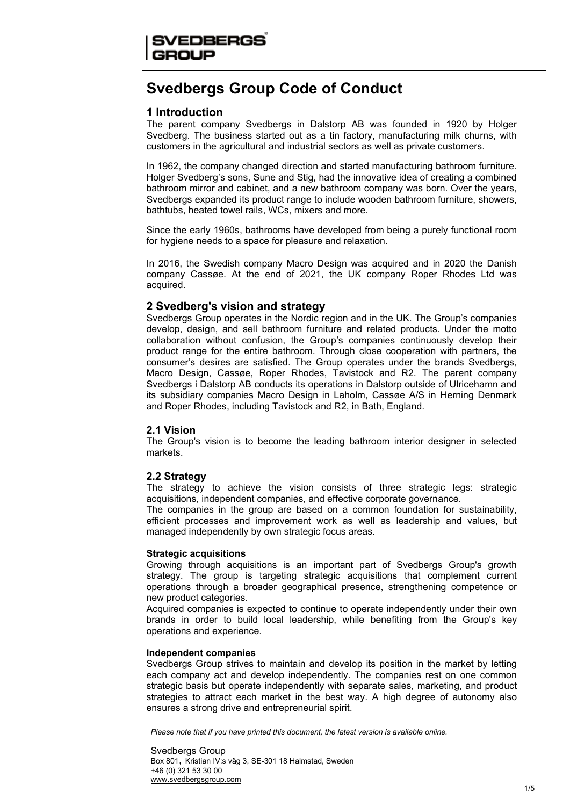# Svedbergs Group Code of Conduct

# 1 Introduction

The parent company Svedbergs in Dalstorp AB was founded in 1920 by Holger Svedberg. The business started out as a tin factory, manufacturing milk churns, with customers in the agricultural and industrial sectors as well as private customers.

In 1962, the company changed direction and started manufacturing bathroom furniture. Holger Svedberg's sons, Sune and Stig, had the innovative idea of creating a combined bathroom mirror and cabinet, and a new bathroom company was born. Over the years, Svedbergs expanded its product range to include wooden bathroom furniture, showers, bathtubs, heated towel rails, WCs, mixers and more.

Since the early 1960s, bathrooms have developed from being a purely functional room for hygiene needs to a space for pleasure and relaxation.

In 2016, the Swedish company Macro Design was acquired and in 2020 the Danish company Cassøe. At the end of 2021, the UK company Roper Rhodes Ltd was acquired.

# 2 Svedberg's vision and strategy

Svedbergs Group operates in the Nordic region and in the UK. The Group's companies develop, design, and sell bathroom furniture and related products. Under the motto collaboration without confusion, the Group's companies continuously develop their product range for the entire bathroom. Through close cooperation with partners, the consumer's desires are satisfied. The Group operates under the brands Svedbergs, Macro Design, Cassøe, Roper Rhodes, Tavistock and R2. The parent company Svedbergs i Dalstorp AB conducts its operations in Dalstorp outside of Ulricehamn and its subsidiary companies Macro Design in Laholm, Cassøe A/S in Herning Denmark and Roper Rhodes, including Tavistock and R2, in Bath, England.

# 2.1 Vision

The Group's vision is to become the leading bathroom interior designer in selected markets.

# 2.2 Strategy

The strategy to achieve the vision consists of three strategic legs: strategic acquisitions, independent companies, and effective corporate governance.

The companies in the group are based on a common foundation for sustainability, efficient processes and improvement work as well as leadership and values, but managed independently by own strategic focus areas.

### Strategic acquisitions

Growing through acquisitions is an important part of Svedbergs Group's growth strategy. The group is targeting strategic acquisitions that complement current operations through a broader geographical presence, strengthening competence or new product categories.

Acquired companies is expected to continue to operate independently under their own brands in order to build local leadership, while benefiting from the Group's key operations and experience.

### Independent companies

Svedbergs Group strives to maintain and develop its position in the market by letting each company act and develop independently. The companies rest on one common strategic basis but operate independently with separate sales, marketing, and product strategies to attract each market in the best way. A high degree of autonomy also ensures a strong drive and entrepreneurial spirit.

Please note that if you have printed this document, the latest version is available online.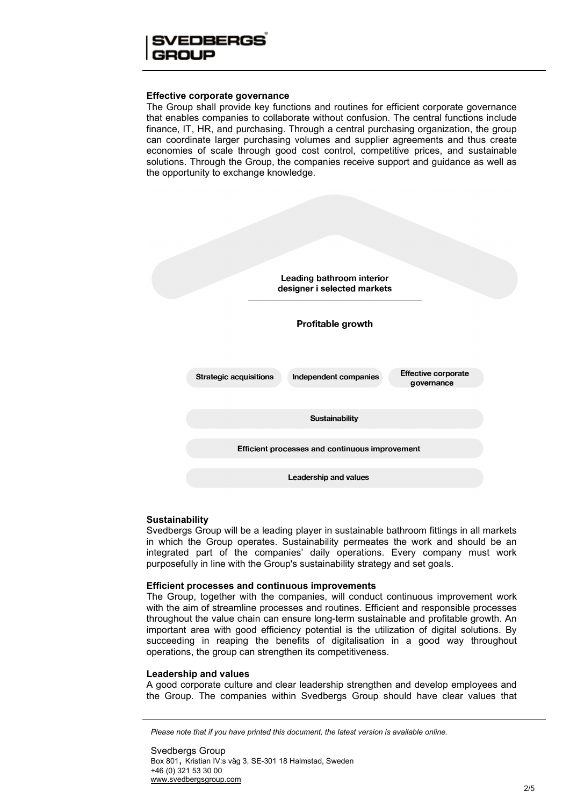# FDRFRGS

### Effective corporate governance

The Group shall provide key functions and routines for efficient corporate governance that enables companies to collaborate without confusion. The central functions include finance, IT, HR, and purchasing. Through a central purchasing organization, the group can coordinate larger purchasing volumes and supplier agreements and thus create economies of scale through good cost control, competitive prices, and sustainable solutions. Through the Group, the companies receive support and guidance as well as the opportunity to exchange knowledge.



# **Sustainability**

Svedbergs Group will be a leading player in sustainable bathroom fittings in all markets in which the Group operates. Sustainability permeates the work and should be an integrated part of the companies' daily operations. Every company must work purposefully in line with the Group's sustainability strategy and set goals.

### Efficient processes and continuous improvements

The Group, together with the companies, will conduct continuous improvement work with the aim of streamline processes and routines. Efficient and responsible processes throughout the value chain can ensure long-term sustainable and profitable growth. An important area with good efficiency potential is the utilization of digital solutions. By succeeding in reaping the benefits of digitalisation in a good way throughout operations, the group can strengthen its competitiveness.

### Leadership and values

A good corporate culture and clear leadership strengthen and develop employees and the Group. The companies within Svedbergs Group should have clear values that

Please note that if you have printed this document, the latest version is available online.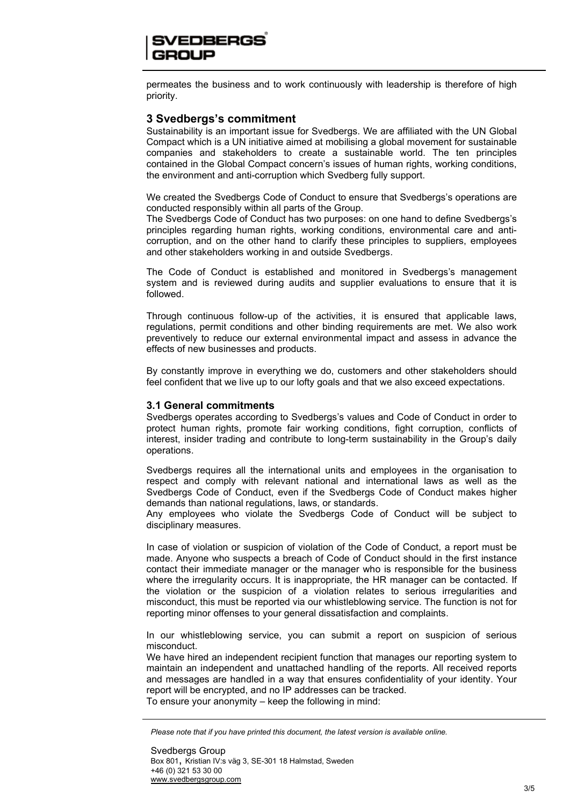# EDBERGS

permeates the business and to work continuously with leadership is therefore of high priority.

# 3 Svedbergs's commitment

Sustainability is an important issue for Svedbergs. We are affiliated with the UN Global Compact which is a UN initiative aimed at mobilising a global movement for sustainable companies and stakeholders to create a sustainable world. The ten principles contained in the Global Compact concern's issues of human rights, working conditions, the environment and anti-corruption which Svedberg fully support.

We created the Svedbergs Code of Conduct to ensure that Svedbergs's operations are conducted responsibly within all parts of the Group.

The Svedbergs Code of Conduct has two purposes: on one hand to define Svedbergs's principles regarding human rights, working conditions, environmental care and anticorruption, and on the other hand to clarify these principles to suppliers, employees and other stakeholders working in and outside Svedbergs.

The Code of Conduct is established and monitored in Svedbergs's management system and is reviewed during audits and supplier evaluations to ensure that it is followed.

Through continuous follow-up of the activities, it is ensured that applicable laws, regulations, permit conditions and other binding requirements are met. We also work preventively to reduce our external environmental impact and assess in advance the effects of new businesses and products.

By constantly improve in everything we do, customers and other stakeholders should feel confident that we live up to our lofty goals and that we also exceed expectations.

### 3.1 General commitments

Svedbergs operates according to Svedbergs's values and Code of Conduct in order to protect human rights, promote fair working conditions, fight corruption, conflicts of interest, insider trading and contribute to long-term sustainability in the Group's daily operations.

Svedbergs requires all the international units and employees in the organisation to respect and comply with relevant national and international laws as well as the Svedbergs Code of Conduct, even if the Svedbergs Code of Conduct makes higher demands than national regulations, laws, or standards.

Any employees who violate the Svedbergs Code of Conduct will be subject to disciplinary measures.

In case of violation or suspicion of violation of the Code of Conduct, a report must be made. Anyone who suspects a breach of Code of Conduct should in the first instance contact their immediate manager or the manager who is responsible for the business where the irregularity occurs. It is inappropriate, the HR manager can be contacted. If the violation or the suspicion of a violation relates to serious irregularities and misconduct, this must be reported via our whistleblowing service. The function is not for reporting minor offenses to your general dissatisfaction and complaints.

In our whistleblowing service, you can submit a report on suspicion of serious misconduct.

We have hired an independent recipient function that manages our reporting system to maintain an independent and unattached handling of the reports. All received reports and messages are handled in a way that ensures confidentiality of your identity. Your report will be encrypted, and no IP addresses can be tracked. To ensure your anonymity – keep the following in mind:

Please note that if you have printed this document, the latest version is available online.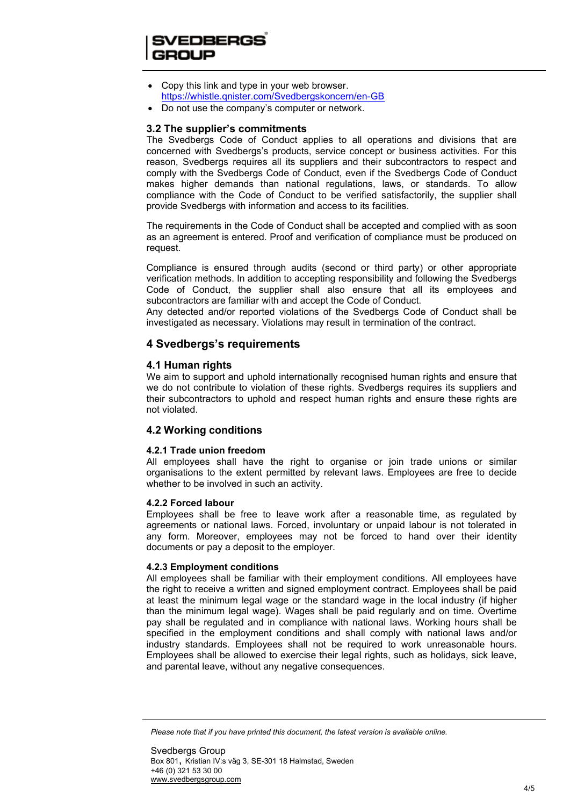# SVEDBERGS

- Copy this link and type in your web browser. https://whistle.qnister.com/Svedbergskoncern/en-GB
- Do not use the company's computer or network.

# 3.2 The supplier's commitments

The Svedbergs Code of Conduct applies to all operations and divisions that are concerned with Svedbergs's products, service concept or business activities. For this reason, Svedbergs requires all its suppliers and their subcontractors to respect and comply with the Svedbergs Code of Conduct, even if the Svedbergs Code of Conduct makes higher demands than national regulations, laws, or standards. To allow compliance with the Code of Conduct to be verified satisfactorily, the supplier shall provide Svedbergs with information and access to its facilities.

The requirements in the Code of Conduct shall be accepted and complied with as soon as an agreement is entered. Proof and verification of compliance must be produced on request.

Compliance is ensured through audits (second or third party) or other appropriate verification methods. In addition to accepting responsibility and following the Svedbergs Code of Conduct, the supplier shall also ensure that all its employees and subcontractors are familiar with and accept the Code of Conduct.

Any detected and/or reported violations of the Svedbergs Code of Conduct shall be investigated as necessary. Violations may result in termination of the contract.

# 4 Svedbergs's requirements

### 4.1 Human rights

We aim to support and uphold internationally recognised human rights and ensure that we do not contribute to violation of these rights. Svedbergs requires its suppliers and their subcontractors to uphold and respect human rights and ensure these rights are not violated.

# 4.2 Working conditions

### 4.2.1 Trade union freedom

All employees shall have the right to organise or join trade unions or similar organisations to the extent permitted by relevant laws. Employees are free to decide whether to be involved in such an activity.

### 4.2.2 Forced labour

Employees shall be free to leave work after a reasonable time, as regulated by agreements or national laws. Forced, involuntary or unpaid labour is not tolerated in any form. Moreover, employees may not be forced to hand over their identity documents or pay a deposit to the employer.

### 4.2.3 Employment conditions

All employees shall be familiar with their employment conditions. All employees have the right to receive a written and signed employment contract. Employees shall be paid at least the minimum legal wage or the standard wage in the local industry (if higher than the minimum legal wage). Wages shall be paid regularly and on time. Overtime pay shall be regulated and in compliance with national laws. Working hours shall be specified in the employment conditions and shall comply with national laws and/or industry standards. Employees shall not be required to work unreasonable hours. Employees shall be allowed to exercise their legal rights, such as holidays, sick leave, and parental leave, without any negative consequences.

Please note that if you have printed this document, the latest version is available online.